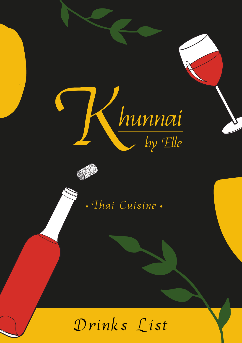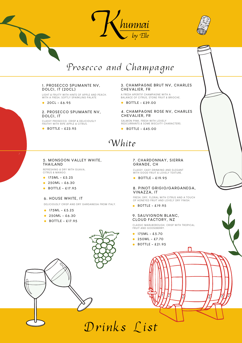



# Prosecco and Champagne

#### **1. PROSECCO SPUMANTE NV, DOLCI, IT (20CL)**

LIGHT & FRUITY WITH HINTS OF APPLE AND PEACH. WITH A FRESH, SOFTLY SPARKLING PALATE

**20CL - £6.95**

#### **2. PROSECCO SPUMANTE NV, DOLCI, IT**

CLASSY PROSECCO, CRISP & DELICIOUSLY FROTHY WITH RIPE APPLE & CITRUS.

**BOTTLE - £23.95**

#### **3. CHAMPAGNE BRUT NV, CHARLES CHEVALIER, FR**

A FRESH APERITIF CHAMPAGNE WITH A BALANCE OF CITRUS, STONE FRUIT & BRIOCHE.

**BOTTLE - £39.00**

#### **4. CHAMPAGNE ROSE NV, CHARLES CHEVALIER, FR**

SALMON PINK, FRESH WITH LOVELY REDCURRANTS & SOME BISCUITY CHARACTERS.

**BOTTLE - £45.00**

# White

#### **5. MONSOON VALLEY WHITE, THAILAND**

REFRESHING & DRY WITH GUAVA, CITRUS & MANGO.

- **175ML £5.25**
- **250ML £6.30**
- **BOTTLE £17.95**

#### **6. HOUSE WHITE, IT**

DELICIOUSLY CRISP AND DRY GARGANEGA FROM ITALY.

- **175ML £5.25**
- **250ML £6.30**
- **BOTTLE £17.95**

#### **7. CHARDONNAY, SIERRA GRANDE, CH**

CLASSY, EASY DRINKING AND ELEGANT WITH GOOD FRUIT & LOVELY TEXTURE.

**BOTTLE - £19.95**

#### **8. PINOT GRIGIO/GARGANEGA, VINAZZA, IT**

FRESH, DRY, FLORAL WITH CITRUS AND A TOUCH OF HONEYED FRUIT AND LOVELY DRY FINISH.

**BOTTLE - £19.95**

#### **9. SAUVIGNON BLANC, CLOUD FACTORY, NZ**

CLASSIC MARLBOROUGH, CRISP WITH TROPICAL FRUIT AND GOOSEBERRY.

- **175ML £5.70**
- **250ML £7.70**
- **BOTTLE £21.95**

Drinks List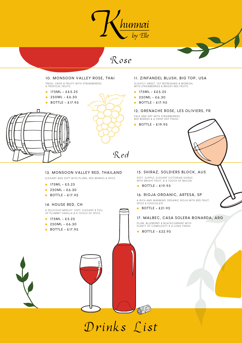

Rosé



**13. MONSOON VALLEY RED, THAILAND** ELEGANT AND SOFT WITH PLUMS, RED BERRIES & SPICE.

**175ML - £5.25 250ML - £6.30 BOTTLE - £17.95**

**14. HOUSE RED, CH**

**175ML - £5.25 250ML - £6.30 BOTTLE - £17.95**

A DELICIOUS MERLOT. SOFT, ELEGANT & FULL OF PLUMMY VANILLA & A TOUCH OF SPICE.

### **15. SHIRAZ, SOLDIERS BLOCK, AUS**

SOFT, SUPPLE, ELEGANT VICTORIAN SHIRAZ, WITH BRIGHT FRUIT, & A TOUCH OF BACON.

**BOTTLE - £19.95**

#### **16. RIOJA ORGANIC, ARTESA, SP**

A RICH AND WARMING ORGANIC RIOJA WITH RED FRUIT, SPICE & CHOCOLATE

**BOTTLE - £21.95**

### **17. MALBEC, CASA SOLERA BONARDA, ARG**

PLUM, BLUEBERRY & BLACKCURRANT WITH PLENTY OF COMPLEXITY & A LONG FINISH.

**BOTTLE - £22.95**

OFFE

Drinks List